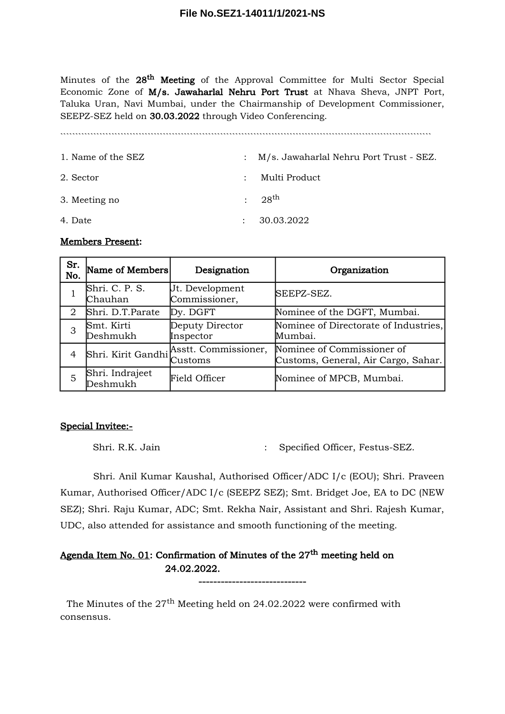Minutes of the 28<sup>th</sup> Meeting of the Approval Committee for Multi Sector Special Economic Zone of M/s. Jawaharlal Nehru Port Trust at Nhava Sheva, JNPT Port, Taluka Uran, Navi Mumbai, under the Chairmanship of Development Commissioner, SEEPZ-SEZ held on 30.03.2022 through Video Conferencing.

1. Name of the SEZ : M/s. Jawaharlal Nehru Port Trust - SEZ. 2. Sector : Multi Product 3. Meeting no  $: 28^{th}$ 4. Date : 30.03.2022

### Members Present:

| Sr.<br>No.     | Name of Members             | Designation                             | Organization                                                      |
|----------------|-----------------------------|-----------------------------------------|-------------------------------------------------------------------|
|                | Shri. C. P. S.<br>Chauhan   | Jt. Development<br>Commissioner,        | SEEPZ-SEZ.                                                        |
| $\overline{2}$ | Shri. D.T.Parate            | Dy. DGFT                                | Nominee of the DGFT, Mumbai.                                      |
| 3              | Smt. Kirti<br>Deshmukh      | Deputy Director<br>Inspector            | Nominee of Directorate of Industries,<br>Mumbai.                  |
| 4              |                             | Shri. Kirit Gandhi Asstt. Commissioner, | Nominee of Commissioner of<br>Customs, General, Air Cargo, Sahar. |
| 5              | Shri. Indrajeet<br>Deshmukh | <b>Field Officer</b>                    | Nominee of MPCB, Mumbai.                                          |

### Special Invitee:-

Shri. R.K. Jain : Specified Officer, Festus-SEZ.

Shri. Anil Kumar Kaushal, Authorised Officer/ADC I/c (EOU); Shri. Praveen Kumar, Authorised Officer/ADC I/c (SEEPZ SEZ); Smt. Bridget Joe, EA to DC (NEW SEZ); Shri. Raju Kumar, ADC; Smt. Rekha Nair, Assistant and Shri. Rajesh Kumar, UDC, also attended for assistance and smooth functioning of the meeting.

-----------------------------

# Agenda Item No. 01: Confirmation of Minutes of the  $27<sup>th</sup>$  meeting held on 24.02.2022.

The Minutes of the  $27<sup>th</sup>$  Meeting held on 24.02.2022 were confirmed with consensus.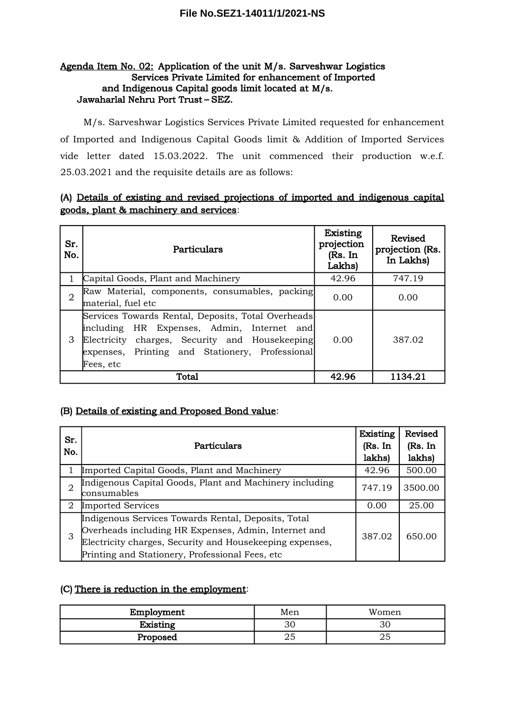# Agenda Item No. 02: Application of the unit M/s. Sarveshwar Logistics Services Private Limited for enhancement of Imported and Indigenous Capital goods limit located at M/s. Jawaharlal Nehru Port Trust – SEZ.

M/s. Sarveshwar Logistics Services Private Limited requested for enhancement of Imported and Indigenous Capital Goods limit & Addition of Imported Services vide letter dated 15.03.2022. The unit commenced their production w.e.f. 25.03.2021 and the requisite details are as follows:

# (A) Details of existing and revised projections of imported and indigenous capital goods, plant & machinery and services:

| Sr.<br>No.     | Particulars                                                                                                                                                                                                           | <b>Existing</b><br>projection<br>(Rs. In<br>Lakhs) | Revised<br>projection (Rs.<br>In Lakhs) |
|----------------|-----------------------------------------------------------------------------------------------------------------------------------------------------------------------------------------------------------------------|----------------------------------------------------|-----------------------------------------|
|                | Capital Goods, Plant and Machinery                                                                                                                                                                                    | 42.96                                              | 747.19                                  |
| $\overline{2}$ | Raw Material, components, consumables, packing<br>material, fuel etc                                                                                                                                                  | 0.00                                               | 0.00                                    |
| 3              | Services Towards Rental, Deposits, Total Overheads<br>including HR Expenses, Admin, Internet and<br>charges, Security and Housekeeping<br>Electricity<br>expenses, Printing and Stationery, Professional<br>Fees, etc | 0.00                                               | 387.02                                  |
|                | Total                                                                                                                                                                                                                 | 42.96                                              | 1134.21                                 |

# (B) Details of existing and Proposed Bond value:

| Sr.<br>No. | Particulars                                                                                                                                                                                                                 | Existing<br>(Rs. In<br>lakhs) | Revised<br>(Rs. In<br>lakhs) |
|------------|-----------------------------------------------------------------------------------------------------------------------------------------------------------------------------------------------------------------------------|-------------------------------|------------------------------|
|            | Imported Capital Goods, Plant and Machinery                                                                                                                                                                                 | 42.96                         | 500.00                       |
| 2          | Indigenous Capital Goods, Plant and Machinery including<br>consumables                                                                                                                                                      | 747.19                        | 3500.00                      |
| 2          | Imported Services                                                                                                                                                                                                           | 0.00                          | 25.00                        |
| 3          | Indigenous Services Towards Rental, Deposits, Total<br>Overheads including HR Expenses, Admin, Internet and<br>Electricity charges, Security and Housekeeping expenses,<br>Printing and Stationery, Professional Fees, etc. | 387.02                        | 650.00                       |

# (C) There is reduction in the employment:

| Employment      | Men | Women |
|-----------------|-----|-------|
| <b>Existing</b> | 30  |       |
| Proposed        | ∠J  | ∠∪    |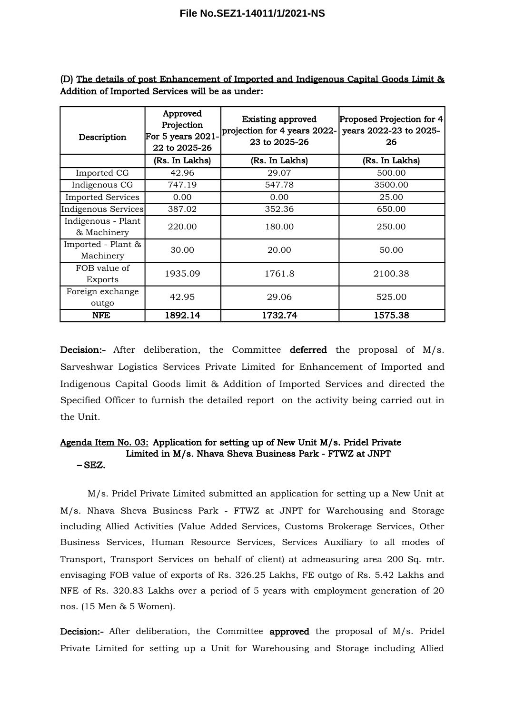| Description                       | Approved<br>Projection<br>For 5 years 2021-<br>22 to 2025-26 | <b>Existing approved</b><br>projection for 4 years 2022-<br>23 to 2025-26 | Proposed Projection for 4<br>years 2022-23 to 2025-<br>26 |
|-----------------------------------|--------------------------------------------------------------|---------------------------------------------------------------------------|-----------------------------------------------------------|
|                                   | (Rs. In Lakhs)                                               | (Rs. In Lakhs)                                                            | (Rs. In Lakhs)                                            |
| Imported CG                       | 42.96                                                        | 29.07                                                                     | 500.00                                                    |
| Indigenous CG                     | 747.19                                                       | 547.78                                                                    | 3500.00                                                   |
| <b>Imported Services</b>          | 0.00                                                         | 0.00                                                                      | 25.00                                                     |
| Indigenous Services               | 387.02                                                       | 352.36                                                                    | 650.00                                                    |
| Indigenous - Plant<br>& Machinery | 220.00                                                       | 180.00                                                                    | 250.00                                                    |
| Imported - Plant &<br>Machinery   | 30.00                                                        | 20.00                                                                     | 50.00                                                     |
| FOB value of<br>Exports           | 1935.09                                                      | 1761.8                                                                    | 2100.38                                                   |
| Foreign exchange<br>outgo         | 42.95                                                        | 29.06                                                                     | 525.00                                                    |
| <b>NFE</b>                        | 1892.14                                                      | 1732.74                                                                   | 1575.38                                                   |

(D) The details of post Enhancement of Imported and Indigenous Capital Goods Limit & Addition of Imported Services will be as under:

Decision:- After deliberation, the Committee deferred the proposal of M/s. Sarveshwar Logistics Services Private Limited for Enhancement of Imported and Indigenous Capital Goods limit & Addition of Imported Services and directed the Specified Officer to furnish the detailed report on the activity being carried out in the Unit.

#### Agenda Item No. 03: Application for setting up of New Unit M/s. Pridel Private Limited in M/s. Nhava Sheva Business Park - FTWZ at JNPT – SEZ.

M/s. Pridel Private Limited submitted an application for setting up a New Unit at M/s. Nhava Sheva Business Park - FTWZ at JNPT for Warehousing and Storage including Allied Activities (Value Added Services, Customs Brokerage Services, Other Business Services, Human Resource Services, Services Auxiliary to all modes of Transport, Transport Services on behalf of client) at admeasuring area 200 Sq. mtr. envisaging FOB value of exports of Rs. 326.25 Lakhs, FE outgo of Rs. 5.42 Lakhs and NFE of Rs. 320.83 Lakhs over a period of 5 years with employment generation of 20 nos. (15 Men & 5 Women).

Decision:- After deliberation, the Committee approved the proposal of M/s. Pridel Private Limited for setting up a Unit for Warehousing and Storage including Allied